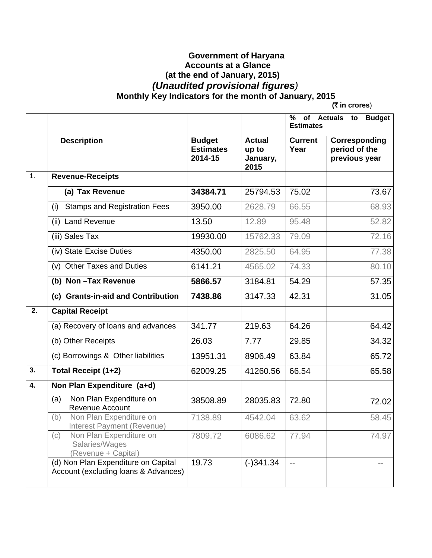## **Government of Haryana Accounts at a Glance (at the end of January, 2015)**   *(Unaudited provisional figures)*   **Monthly Key Indicators for the month of January, 2015**

**(**` **in crores**)

|                  |                                                                             |                                              |                                            | <b>Budget</b><br>%<br>of Actuals to<br><b>Estimates</b> |                                                 |
|------------------|-----------------------------------------------------------------------------|----------------------------------------------|--------------------------------------------|---------------------------------------------------------|-------------------------------------------------|
|                  | <b>Description</b>                                                          | <b>Budget</b><br><b>Estimates</b><br>2014-15 | <b>Actual</b><br>up to<br>January,<br>2015 | <b>Current</b><br>Year                                  | Corresponding<br>period of the<br>previous year |
| 1.               | <b>Revenue-Receipts</b>                                                     |                                              |                                            |                                                         |                                                 |
|                  | (a) Tax Revenue                                                             | 34384.71                                     | 25794.53                                   | 75.02                                                   | 73.67                                           |
|                  | <b>Stamps and Registration Fees</b><br>(i)                                  | 3950.00                                      | 2628.79                                    | 66.55                                                   | 68.93                                           |
|                  | <b>Land Revenue</b><br>(ii)                                                 | 13.50                                        | 12.89                                      | 95.48                                                   | 52.82                                           |
|                  | (iii) Sales Tax                                                             | 19930.00                                     | 15762.33                                   | 79.09                                                   | 72.16                                           |
|                  | (iv) State Excise Duties                                                    | 4350.00                                      | 2825.50                                    | 64.95                                                   | 77.38                                           |
|                  | (v) Other Taxes and Duties                                                  | 6141.21                                      | 4565.02                                    | 74.33                                                   | 80.10                                           |
|                  | (b) Non-Tax Revenue                                                         | 5866.57                                      | 3184.81                                    | 54.29                                                   | 57.35                                           |
|                  | (c) Grants-in-aid and Contribution                                          | 7438.86                                      | 3147.33                                    | 42.31                                                   | 31.05                                           |
| 2.               | <b>Capital Receipt</b>                                                      |                                              |                                            |                                                         |                                                 |
|                  | (a) Recovery of loans and advances                                          | 341.77                                       | 219.63                                     | 64.26                                                   | 64.42                                           |
|                  | (b) Other Receipts                                                          | 26.03                                        | 7.77                                       | 29.85                                                   | 34.32                                           |
|                  | (c) Borrowings & Other liabilities                                          | 13951.31                                     | 8906.49                                    | 63.84                                                   | 65.72                                           |
| 3.               | Total Receipt (1+2)                                                         | 62009.25                                     | 41260.56                                   | 66.54                                                   | 65.58                                           |
| $\overline{4}$ . | Non Plan Expenditure (a+d)                                                  |                                              |                                            |                                                         |                                                 |
|                  | Non Plan Expenditure on<br>(a)<br>Revenue Account                           | 38508.89                                     | 28035.83                                   | 72.80                                                   | 72.02                                           |
|                  | Non Plan Expenditure on<br>(b)<br>Interest Payment (Revenue)                | 7138.89                                      | 4542.04                                    | 63.62                                                   | 58.45                                           |
|                  | Non Plan Expenditure on<br>(c)<br>Salaries/Wages<br>(Revenue + Capital)     | 7809.72                                      | 6086.62                                    | 77.94                                                   | 74.97                                           |
|                  | (d) Non Plan Expenditure on Capital<br>Account (excluding loans & Advances) | 19.73                                        | $(-)341.34$                                |                                                         |                                                 |